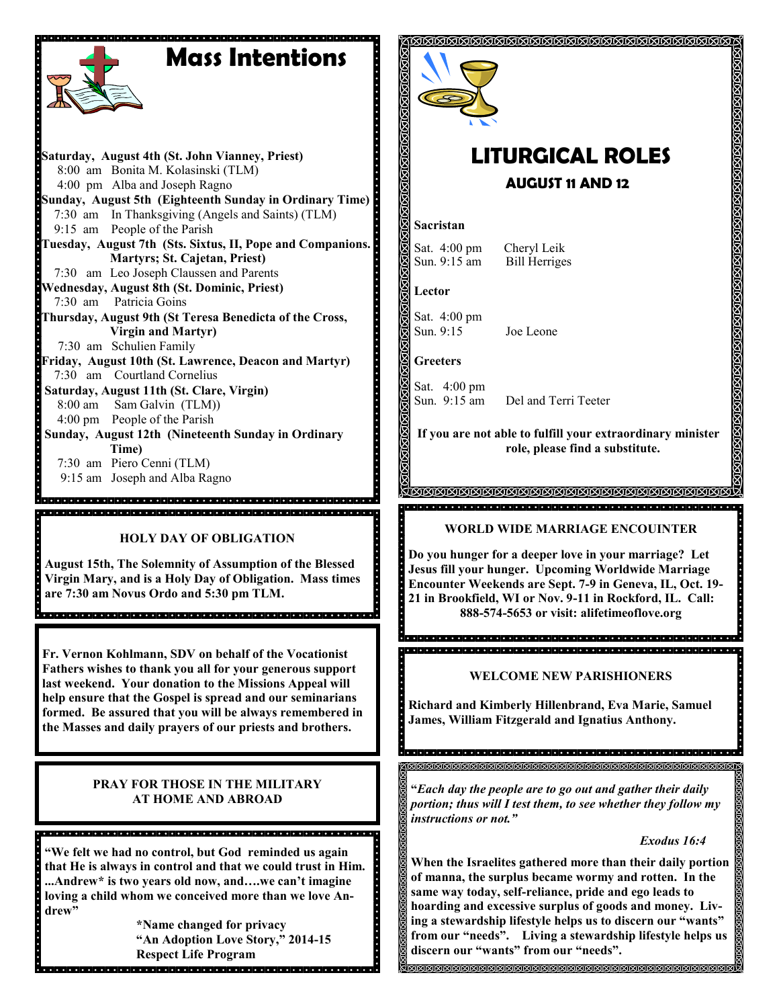# **Mass Intentions**

**Saturday, August 4th (St. John Vianney, Priest)** 8:00 am Bonita M. Kolasinski (TLM) 4:00 pm Alba and Joseph Ragno **Sunday, August 5th (Eighteenth Sunday in Ordinary Time)** 7:30 am In Thanksgiving (Angels and Saints) (TLM) 9:15 am People of the Parish **Tuesday, August 7th (Sts. Sixtus, II, Pope and Companions. Martyrs; St. Cajetan, Priest)** 7:30 am Leo Joseph Claussen and Parents **Wednesday, August 8th (St. Dominic, Priest)** 7:30 am Patricia Goins **Thursday, August 9th (St Teresa Benedicta of the Cross, Virgin and Martyr)** 7:30 am Schulien Family **Friday, August 10th (St. Lawrence, Deacon and Martyr)** 7:30 am Courtland Cornelius **Saturday, August 11th (St. Clare, Virgin)** 8:00 am Sam Galvin (TLM)) 4:00 pm People of the Parish **Sunday, August 12th (Nineteenth Sunday in Ordinary Time)** 7:30 am Piero Cenni (TLM) 9:15 am Joseph and Alba Ragno .<br>O populara de la popula de la ciencia de la ciencia de la ciencia de la ciencia de la ciencia de la ciencia

# **HOLY DAY OF OBLIGATION**

**August 15th, The Solemnity of Assumption of the Blessed Virgin Mary, and is a Holy Day of Obligation. Mass times are 7:30 am Novus Ordo and 5:30 pm TLM.** 

**Fr. Vernon Kohlmann, SDV on behalf of the Vocationist Fathers wishes to thank you all for your generous support last weekend. Your donation to the Missions Appeal will help ensure that the Gospel is spread and our seminarians formed. Be assured that you will be always remembered in the Masses and daily prayers of our priests and brothers.** 

# **PRAY FOR THOSE IN THE MILITARY AT HOME AND ABROAD**

17 ISBN 17 ISBN 17 ISBN 17 ISBN 17 ISBN 17 ISBN 17 ISBN 17 ISBN 17 ISBN 17 ISBN 17 ISBN 17 ISBN 17

**"We felt we had no control, but God reminded us again that He is always in control and that we could trust in Him. ...Andrew\* is two years old now, and….we can't imagine loving a child whom we conceived more than we love Andrew"**

<u> ग्रहण ग्रहण ग्रहण ग्रहण ग्रहण ग्रहण ग्रहण ग्रहण गरान्छ। गरान्छ गरान्छ गरान्छ गरान्छ गरान्छ गरान्छ गरान्छ ग</u>

**\*Name changed for privacy "An Adoption Love Story," 2014-15 Respect Life Program**



# **LITURGICAL ROLES AUGUST 11 AND 12**

### **Sacristan**

Sat. 4:00 pm Cheryl Leik Sun. 9:15 am Bill Herriges

**Lector**

Sat. 4:00 pm Sun. 9:15 Joe Leone

**Greeters**

Sat. 4:00 pm<br>Sun. 9:15 am

Del and Terri Teeter

**If you are not able to fulfill your extraordinary minister role, please find a substitute.** 

### <u>KANANANANANANANANANANANANANA</u> <u>geologické populación a protector de completa de completa de la protector de completa de completa de completa</u>

# **WORLD WIDE MARRIAGE ENCOUINTER**

**Do you hunger for a deeper love in your marriage? Let Jesus fill your hunger. Upcoming Worldwide Marriage Encounter Weekends are Sept. 7-9 in Geneva, IL, Oct. 19- 21 in Brookfield, WI or Nov. 9-11 in Rockford, IL. Call: 888-574-5653 or visit: alifetimeoflove.org**

die la jara jaraja jaraja jaraja jaraja jaraja jaraja jaraja jaraja jaraja jaraja jaraja jaraja jaraja jaraja ja

# **WELCOME NEW PARISHIONERS**

**Richard and Kimberly Hillenbrand, Eva Marie, Samuel James, William Fitzgerald and Ignatius Anthony.**

in die Berger der Berger der Berger der Berger des Berger des Berger des Bergers des Bergers der Bergers der

**"***Each day the people are to go out and gather their daily portion; thus will I test them, to see whether they follow my instructions or not."*

# *Exodus 16:4*

**When the Israelites gathered more than their daily portion of manna, the surplus became wormy and rotten. In the same way today, self-reliance, pride and ego leads to hoarding and excessive surplus of goods and money. Living a stewardship lifestyle helps us to discern our "wants" from our "needs". Living a stewardship lifestyle helps us discern our "wants" from our "needs".**